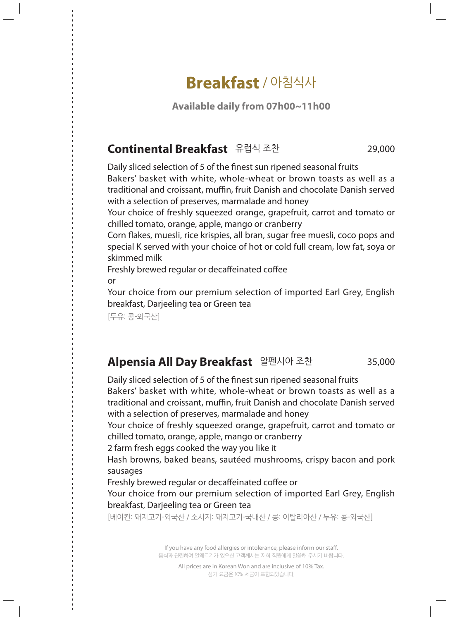# **Breakfast** / 아침식사

**Available daily from 07h00~11h00**

## **Continental Breakfast** 유럽식 조찬 29,000

Daily sliced selection of 5 of the finest sun ripened seasonal fruits Bakers' basket with white, whole-wheat or brown toasts as well as a traditional and croissant, muffin, fruit Danish and chocolate Danish served with a selection of preserves, marmalade and honey

Your choice of freshly squeezed orange, grapefruit, carrot and tomato or chilled tomato, orange, apple, mango or cranberry

Corn flakes, muesli, rice krispies, all bran, sugar free muesli, coco pops and special K served with your choice of hot or cold full cream, low fat, soya or skimmed milk

Freshly brewed regular or decaffeinated coffee or

Your choice from our premium selection of imported Earl Grey, English breakfast, Darjeeling tea or Green tea

[두유: 콩-외국산]

## **Alpensia All Day Breakfast** 알펜시아 조찬 35,000

Daily sliced selection of 5 of the finest sun ripened seasonal fruits Bakers' basket with white, whole-wheat or brown toasts as well as a traditional and croissant, muffin, fruit Danish and chocolate Danish served with a selection of preserves, marmalade and honey

Your choice of freshly squeezed orange, grapefruit, carrot and tomato or chilled tomato, orange, apple, mango or cranberry

2 farm fresh eggs cooked the way you like it

Hash browns, baked beans, sautéed mushrooms, crispy bacon and pork sausages

Freshly brewed regular or decaffeinated coffee or

Your choice from our premium selection of imported Earl Grey, English breakfast, Darjeeling tea or Green tea

[베이컨: 돼지고기-외국산 / 소시지: 돼지고기-국내산 / 콩: 이탈리아산 / 두유: 콩-외국산]

If you have any food allergies or intolerance, please inform our staff. 음식과 관련하여 알레르기가 있으신 고객께서는 저희 직원에게 말씀해 주시기 바랍니다.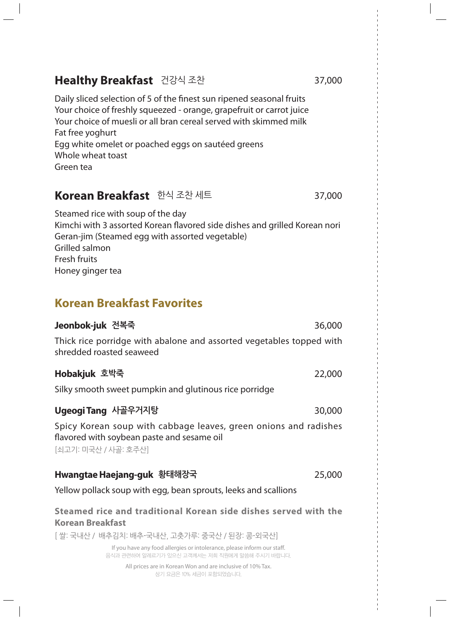| <b>TRUBBE DIGRISS</b> LOTED                                                                                                                                                                                                                                                                                                    |        |
|--------------------------------------------------------------------------------------------------------------------------------------------------------------------------------------------------------------------------------------------------------------------------------------------------------------------------------|--------|
| Daily sliced selection of 5 of the finest sun ripened seasonal fruits<br>Your choice of freshly squeezed - orange, grapefruit or carrot juice<br>Your choice of muesli or all bran cereal served with skimmed milk<br>Fat free yoghurt<br>Egg white omelet or poached eggs on sautéed greens<br>Whole wheat toast<br>Green tea |        |
| Korean Breakfast 한식 조찬 세트                                                                                                                                                                                                                                                                                                      | 37,000 |
| Steamed rice with soup of the day<br>Kimchi with 3 assorted Korean flavored side dishes and grilled Korean nori<br>Geran-jim (Steamed egg with assorted vegetable)<br>Grilled salmon<br>Fresh fruits<br>Honey ginger tea                                                                                                       |        |
| <b>Korean Breakfast Favorites</b>                                                                                                                                                                                                                                                                                              |        |
| <b>Jeonbok-juk 전복죽</b>                                                                                                                                                                                                                                                                                                         | 36,000 |
| Thick rice porridge with abalone and assorted vegetables topped with<br>shredded roasted seaweed                                                                                                                                                                                                                               |        |
| Hobakjuk 호박죽                                                                                                                                                                                                                                                                                                                   | 22,000 |
| Silky smooth sweet pumpkin and glutinous rice porridge                                                                                                                                                                                                                                                                         |        |
| Ugeogi Tang 사골우거지탕                                                                                                                                                                                                                                                                                                             | 30,000 |
| Spicy Korean soup with cabbage leaves, green onions and radishes<br>flavored with soybean paste and sesame oil<br>[쇠고기: 미국산 / 사골: 호주산]                                                                                                                                                                                         |        |
| Hwangtae Haejang-guk 황태해장국                                                                                                                                                                                                                                                                                                     | 25,000 |
| Yellow pollack soup with egg, bean sprouts, leeks and scallions                                                                                                                                                                                                                                                                |        |
| Steamed rice and traditional Korean side dishes served with the<br><b>Korean Breakfast</b>                                                                                                                                                                                                                                     |        |
| [ 쌀: 국내산 / 배추김치: 배추-국내산, 고츳가루: 중국산 / 된장: 콩-외국산]                                                                                                                                                                                                                                                                                |        |
| If you have any food allergies or intolerance, please inform our staff.<br>음식과 관련하여 알레르기가 있으신 고객께서는 저희 직원에게 말씀해 주시기 바랍니다.                                                                                                                                                                                                      |        |
| All prices are in Korean Won and are inclusive of 10% Tax.                                                                                                                                                                                                                                                                     |        |

All prices are in Korean Won and are inclusive of 10% Tax. 상기 요금은 10% 세금이 포함되었습니다.

## **Healthy Breakfast** 건강식 조찬 37,000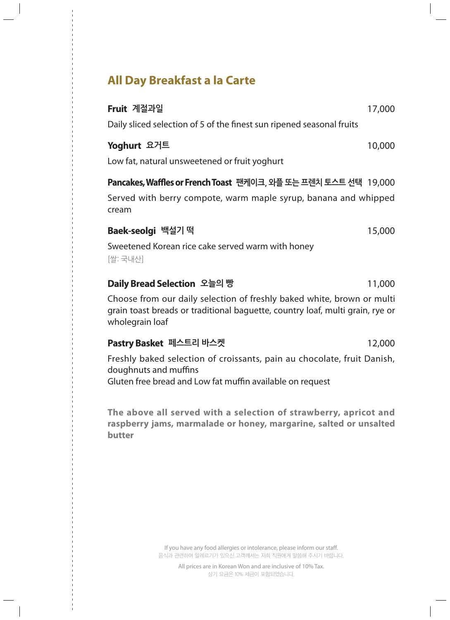## **All Day Breakfast a la Carte**

# **Fruit 계절과일**  17,000 Daily sliced selection of 5 of the finest sun ripened seasonal fruits **Yoghurt 요거트**  10,000 Low fat, natural unsweetened or fruit yoghurt **Pancakes, Waffles or French Toast 팬케이크, 와플 또는 프렌치 토스트 선택** 19,000 Served with berry compote, warm maple syrup, banana and whipped cream **Baek-seolgi 백설기 떡**  15,000 Sweetened Korean rice cake served warm with honey [쌀: 국내산] **Daily Bread Selection 오늘의 빵**  11,000

Choose from our daily selection of freshly baked white, brown or multi grain toast breads or traditional baguette, country loaf, multi grain, rye or wholegrain loaf

#### **Pastry Basket 페스트리 바스켓**  12,000

Freshly baked selection of croissants, pain au chocolate, fruit Danish, doughnuts and muffins

Gluten free bread and Low fat muffin available on request

**The above all served with a selection of strawberry, apricot and raspberry jams, marmalade or honey, margarine, salted or unsalted butter**

> If you have any food allergies or intolerance, please inform our staff. 음식과 관련하여 알레르기가 있으신 고객께서는 저희 직원에게 말씀해 주시기 바랍니다.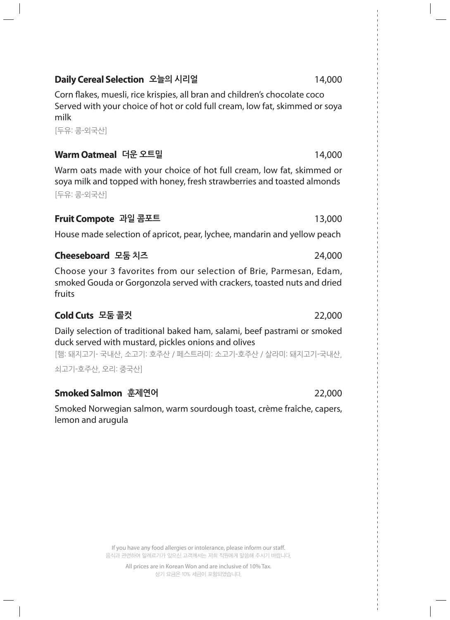#### **Daily Cereal Selection 오늘의 시리얼**  14,000

Corn flakes, muesli, rice krispies, all bran and children's chocolate coco Served with your choice of hot or cold full cream, low fat, skimmed or soya milk

[두유: 콩-외국산]

## **Warm Oatmeal 더운 오트밀**  14,000

Warm oats made with your choice of hot full cream, low fat, skimmed or soya milk and topped with honey, fresh strawberries and toasted almonds [두유: 콩-외국산]

### **Fruit Compote 과일 콤포트**  13,000

House made selection of apricot, pear, lychee, mandarin and yellow peach

## **Cheeseboard 모둠 치즈**  24,000

Choose your 3 favorites from our selection of Brie, Parmesan, Edam, smoked Gouda or Gorgonzola served with crackers, toasted nuts and dried fruits

## **Cold Cuts 모둠 콜컷**  22,000

Daily selection of traditional baked ham, salami, beef pastrami or smoked duck served with mustard, pickles onions and olives

[햄: 돼지고기- 국내산, 소고기: 호주산 / 페스트라미: 소고기-호주산 / 살라미: 돼지고기-국내산,

쇠고기-호주산, 오리: 중국산]

## **Smoked Salmon 훈제연어**  22,000

Smoked Norwegian salmon, warm sourdough toast, crème fraîche, capers, lemon and arugula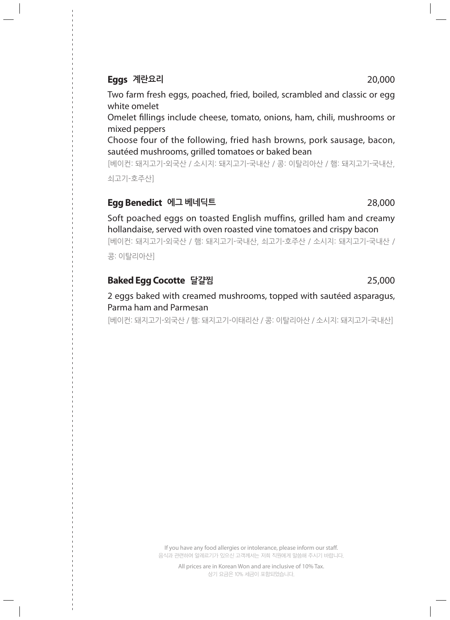#### **Eggs 계란요리**  20,000

Two farm fresh eggs, poached, fried, boiled, scrambled and classic or egg white omelet

Omelet fillings include cheese, tomato, onions, ham, chili, mushrooms or mixed peppers

Choose four of the following, fried hash browns, pork sausage, bacon, sautéed mushrooms, grilled tomatoes or baked bean

[베이컨: 돼지고기-외국산 / 소시지: 돼지고기-국내산 / 콩: 이탈리아산 / 햄: 돼지고기-국내산, 쇠고기-호주산]

#### **Egg Benedict 에그 베네딕트**  28,000

Soft poached eggs on toasted English muffins, grilled ham and creamy hollandaise, served with oven roasted vine tomatoes and crispy bacon

[베이컨: 돼지고기-외국산 / 햄: 돼지고기-국내산, 쇠고기-호주산 / 소시지: 돼지고기-국내산 / 콩: 이탈리아산]

#### **Baked Egg Cocotte 달걀찜**  25,000

2 eggs baked with creamed mushrooms, topped with sautéed asparagus, Parma ham and Parmesan

[베이컨: 돼지고기-외국산 / 햄: 돼지고기-이태리산 / 콩: 이탈리아산 / 소시지: 돼지고기-국내산]

If you have any food allergies or intolerance, please inform our staff. 음식과 관련하여 알레르기가 있으신 고객께서는 저희 직원에게 말씀해 주시기 바랍니다.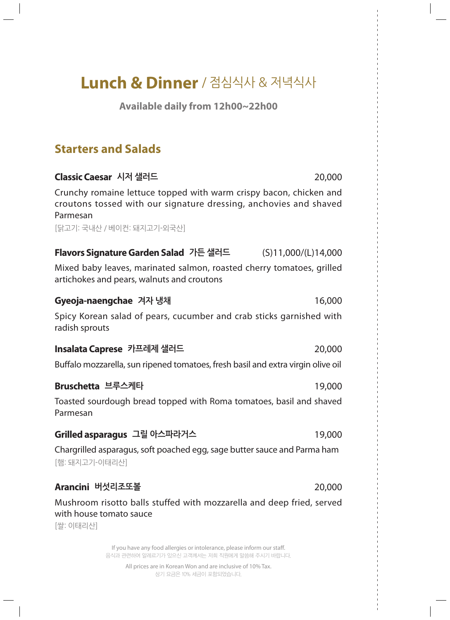# **Lunch & Dinner** / 점심식사 & 저녁식사

**Available daily from 12h00~22h00**

## **Starters and Salads**

#### **Classic Caesar 시저 샐러드**  20,000

Crunchy romaine lettuce topped with warm crispy bacon, chicken and croutons tossed with our signature dressing, anchovies and shaved Parmesan

[닭고기: 국내산 / 베이컨: 돼지고기-외국산]

#### **Flavors Signature Garden Salad 가든 샐러드**  (S)11,000/(L)14,000

Mixed baby leaves, marinated salmon, roasted cherry tomatoes, grilled artichokes and pears, walnuts and croutons

#### **Gyeoja-naengchae 겨자 냉채**  16,000

Spicy Korean salad of pears, cucumber and crab sticks garnished with radish sprouts

#### **Insalata Caprese 카프레제 샐러드**  20,000

Buffalo mozzarella, sun ripened tomatoes, fresh basil and extra virgin olive oil

#### **Bruschetta 브루스케타**  19,000

Toasted sourdough bread topped with Roma tomatoes, basil and shaved Parmesan

#### **Grilled asparagus 그릴 아스파라거스**  19,000

Chargrilled asparagus, soft poached egg, sage butter sauce and Parma ham [햄: 돼지고기-이태리산]

#### **Arancini 버섯리조또볼**  20,000

Mushroom risotto balls stuffed with mozzarella and deep fried, served with house tomato sauce [쌀: 이태리산]

> If you have any food allergies or intolerance, please inform our staff. 음식과 관련하여 알레르기가 있으신 고객께서는 저희 직원에게 말씀해 주시기 바랍니다.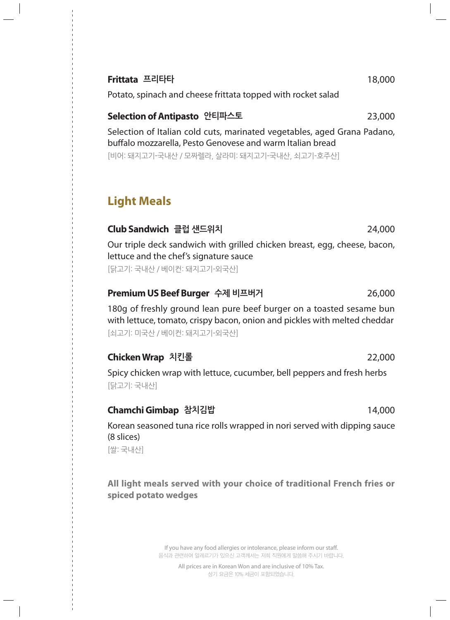### **Frittata 프리타타**  18,000

Potato, spinach and cheese frittata topped with rocket salad

### **Selection of Antipasto 안티파스토**  23,000

Selection of Italian cold cuts, marinated vegetables, aged Grana Padano, buffalo mozzarella, Pesto Genovese and warm Italian bread

[비어: 돼지고기-국내산 / 모짜렐라, 살라미: 돼지고기-국내산, 쇠고기-호주산]

## **Light Meals**

## **Club Sandwich 클럽 샌드위치**  24,000

Our triple deck sandwich with grilled chicken breast, egg, cheese, bacon, lettuce and the chef's signature sauce

[닭고기: 국내산 / 베이컨: 돼지고기-외국산]

## **Premium US Beef Burger 수제 비프버거**  26,000

180g of freshly ground lean pure beef burger on a toasted sesame bun with lettuce, tomato, crispy bacon, onion and pickles with melted cheddar [쇠고기: 미국산 / 베이컨: 돼지고기-외국산]

## **Chicken Wrap 치킨롤**  22,000

Spicy chicken wrap with lettuce, cucumber, bell peppers and fresh herbs [닭고기: 국내산]

## **Chamchi Gimbap 참치김밥**  14,000

Korean seasoned tuna rice rolls wrapped in nori served with dipping sauce (8 slices)

[쌀: 국내산]

**All light meals served with your choice of traditional French fries or spiced potato wedges**

> If you have any food allergies or intolerance, please inform our staff. 음식과 관련하여 알레르기가 있으신 고객께서는 저희 직원에게 말씀해 주시기 바랍니다.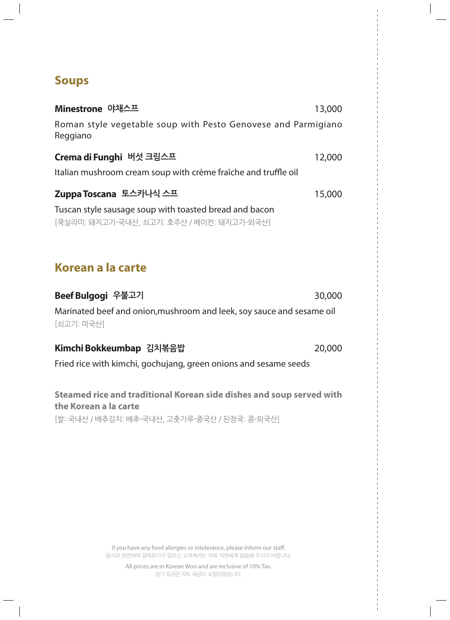## **Soups**

| Minestrone 야채스프                                                                                      | 13,000 |
|------------------------------------------------------------------------------------------------------|--------|
| Roman style vegetable soup with Pesto Genovese and Parmigiano<br>Reggiano                            |        |
| Crema di Funghi 버섯 크림스프                                                                              | 12,000 |
| Italian mushroom cream soup with crème fraîche and truffle oil                                       |        |
| Zuppa Toscana 토스카나식 스프                                                                               | 15,000 |
| Tuscan style sausage soup with toasted bread and bacon<br>[쿡살라미: 돼지고기-국내산, 쇠고기: 호주산 / 베이컨: 돼지고기-외국산] |        |
| Korean a la carte                                                                                    |        |
|                                                                                                      |        |
| Beef Bulgogi 우불고기                                                                                    | 30,000 |
| Marinated beef and onion, mushroom and leek, soy sauce and sesame oil<br>[쇠고기: 미국산]                  |        |
| Kimchi Bokkeumbap 김치볶음밥                                                                              | 20,000 |
| Fried rice with kimchi, gochujang, green onions and sesame seeds                                     |        |
| Steamed rice and traditional Korean side dishes and soup served with<br>the Korean a la carte        |        |
| [쌀: 국내산 / 배추김치: 배추-국내산, 고춧가루-중국산 / 된장국: 콩-외국산]                                                       |        |

If you have any food allergies or intolerance, please inform our staff. 음식과 관련하여 알레르기가 있으신 고객께서는 저희 직원에게 말씀해 주시기 바랍니다.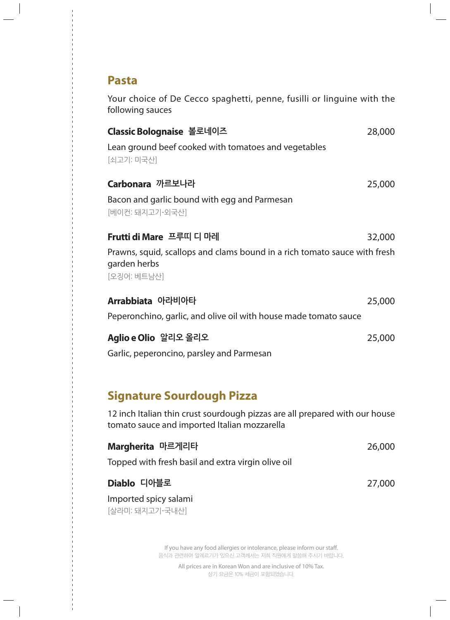## **Pasta**

Your choice of De Cecco spaghetti, penne, fusilli or linguine with the following sauces

| Classic Bolognaise 볼로네이즈<br>Lean ground beef cooked with tomatoes and vegetables<br>[쇠고기: 미국산]                                          | 28,000 |
|-----------------------------------------------------------------------------------------------------------------------------------------|--------|
| Carbonara 까르보나라<br>Bacon and garlic bound with egg and Parmesan                                                                         | 25,000 |
| [베이컨: 돼지고기-외국산]<br>Frutti di Mare 프루띠 디 마레<br>Prawns, squid, scallops and clams bound in a rich tomato sauce with fresh<br>garden herbs | 32,000 |
| [오징어: 베트남산]<br>Arrabbiata 아라비아타<br>Peperonchino, garlic, and olive oil with house made tomato sauce                                     | 25,000 |
| Aglio e Olio 알리오 올리오<br>Garlic, peperoncino, parsley and Parmesan                                                                       | 25,000 |

## **Signature Sourdough Pizza**

12 inch Italian thin crust sourdough pizzas are all prepared with our house tomato sauce and imported Italian mozzarella

| Margherita 마르게리타                                   | 26,000 |
|----------------------------------------------------|--------|
| Topped with fresh basil and extra virgin olive oil |        |
| Diablo 디아블로                                        | 27,000 |
| Imported spicy salami                              |        |
| [살라미: 돼지고기-국내산]                                    |        |

If you have any food allergies or intolerance, please inform our staff. 음식과 관련하여 알레르기가 있으신 고객께서는 저희 직원에게 말씀해 주시기 바랍니다.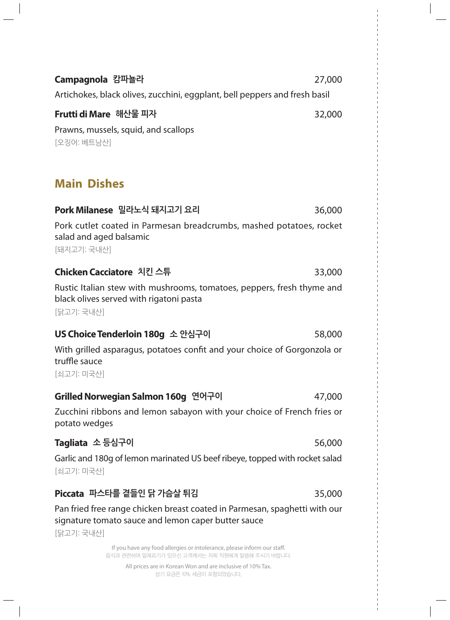| Campagnola 캄파뇰라                                                                                                                                 | 27,000 |
|-------------------------------------------------------------------------------------------------------------------------------------------------|--------|
| Artichokes, black olives, zucchini, eggplant, bell peppers and fresh basil                                                                      |        |
| Frutti di Mare 해산물 피자                                                                                                                           | 32,000 |
| Prawns, mussels, squid, and scallops<br>[오징어: 베트남산]                                                                                             |        |
| <b>Main Dishes</b>                                                                                                                              |        |
| Pork Milanese 밀라노식 돼지고기 요리                                                                                                                      | 36,000 |
| Pork cutlet coated in Parmesan breadcrumbs, mashed potatoes, rocket<br>salad and aged balsamic<br>[돼지고기: 국내산]                                   |        |
| Chicken Cacciatore 치킨 스튜                                                                                                                        | 33,000 |
| Rustic Italian stew with mushrooms, tomatoes, peppers, fresh thyme and<br>black olives served with rigatoni pasta<br>[닭고기: 국내산]                 |        |
| US Choice Tenderloin 180g 소 안심구이                                                                                                                | 58,000 |
| With grilled asparagus, potatoes confit and your choice of Gorgonzola or<br>truffle sauce<br>[쇠고기: 미국산]                                         |        |
| Grilled Norwegian Salmon 160g 연어구이                                                                                                              | 47,000 |
| Zucchini ribbons and lemon sabayon with your choice of French fries or<br>potato wedges                                                         |        |
| Tagliata 소 등심구이                                                                                                                                 | 56,000 |
| Garlic and 180g of lemon marinated US beef ribeye, topped with rocket salad<br>[쇠고기: 미국산]                                                       |        |
| Piccata 파스타를 곁들인 닭 가슴살 튀김                                                                                                                       | 35,000 |
| Pan fried free range chicken breast coated in Parmesan, spaghetti with our<br>signature tomato sauce and lemon caper butter sauce<br>[닭고기: 국내산] |        |

If you have any food allergies or intolerance, please inform our staff. 음식과 관련하여 알레르기가 있으신 고객께서는 저희 직원에게 말씀해 주시기 바랍니다.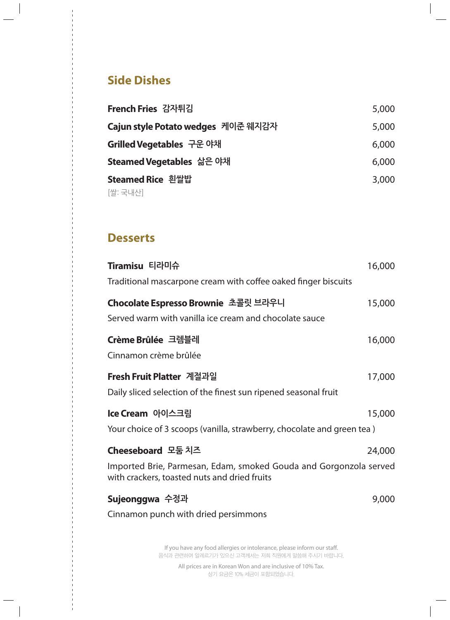## **Side Dishes**

| French Fries 감자튀김                  | 5,000 |
|------------------------------------|-------|
| Cajun style Potato wedges 케이준 웨지감자 | 5,000 |
| <b>Grilled Vegetables</b> 구운 야채    | 6,000 |
| <b>Steamed Vegetables</b> 삶은 야채    | 6,000 |
| <b>Steamed Rice</b> 흰쌀밥            | 3,000 |
| [쌀: 국내산]                           |       |

## **Desserts**

| Tiramisu 티라미슈                                                                                                     | 16,000 |
|-------------------------------------------------------------------------------------------------------------------|--------|
| Traditional mascarpone cream with coffee oaked finger biscuits                                                    |        |
| Chocolate Espresso Brownie 초콜릿 브라우니                                                                               | 15,000 |
| Served warm with vanilla ice cream and chocolate sauce                                                            |        |
| Crème Brûlée 크렘블레                                                                                                 | 16,000 |
| Cinnamon crème brûlée                                                                                             |        |
| Fresh Fruit Platter 계절과일                                                                                          | 17,000 |
| Daily sliced selection of the finest sun ripened seasonal fruit                                                   |        |
| Ice Cream 아이스크림                                                                                                   | 15,000 |
| Your choice of 3 scoops (vanilla, strawberry, chocolate and green tea)                                            |        |
| Cheeseboard 모둠 치즈                                                                                                 | 24,000 |
| Imported Brie, Parmesan, Edam, smoked Gouda and Gorgonzola served<br>with crackers, toasted nuts and dried fruits |        |
| Sujeonggwa 수정과                                                                                                    | 9,000  |
| Cinnamon punch with dried persimmons                                                                              |        |
|                                                                                                                   |        |

If you have any food allergies or intolerance, please inform our staff. 음식과 관련하여 알레르기가 있으신 고객께서는 저희 직원에게 말씀해 주시기 바랍니다.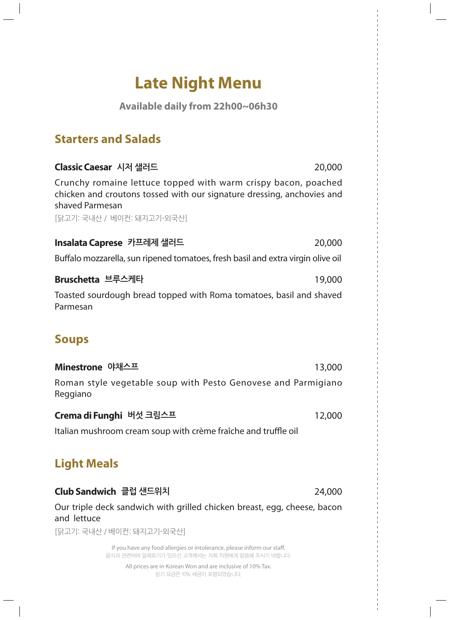# **Late Night Menu**

**Available daily from 22h00~06h30**

## **Starters and Salads**

| Classic Caesar 시저 샐러드<br>20,000                                                                                                                             |  |
|-------------------------------------------------------------------------------------------------------------------------------------------------------------|--|
| Crunchy romaine lettuce topped with warm crispy bacon, poached<br>chicken and croutons tossed with our signature dressing, anchovies and<br>shaved Parmesan |  |
| [닭고기: 국내산 / 베이컨: 돼지고기-외국산]                                                                                                                                  |  |
| Insalata Caprese 카프레제 샐러드<br>20,000                                                                                                                         |  |
| Buffalo mozzarella, sun ripened tomatoes, fresh basil and extra virgin olive oil                                                                            |  |
| Bruschetta 브루스케타<br>19,000                                                                                                                                  |  |
| Toasted sourdough bread topped with Roma tomatoes, basil and shaved<br>Parmesan                                                                             |  |
| <b>Soups</b>                                                                                                                                                |  |
| Minestrone 야채스프<br>13,000                                                                                                                                   |  |
| Roman style vegetable soup with Pesto Genovese and Parmigiano<br>Reggiano                                                                                   |  |
| Crema di Funghi 버섯 크림스프<br>12,000                                                                                                                           |  |
| Italian mushroom cream soup with crème fraîche and truffle oil                                                                                              |  |
| <b>Light Meals</b>                                                                                                                                          |  |
| Club Sandwich 클럽 샌드위치<br>24,000                                                                                                                             |  |
| Our triple deck sandwich with grilled chicken breast, egg, cheese, bacon<br>and lettuce                                                                     |  |
| [닭고기: 국내산 / 베이컨: 돼지고기-외국산]                                                                                                                                  |  |
| If you have any food allergies or intolerance, please inform our staff.<br>음식과 관련하여 알레르기가 있으신 고객께서는 저희 직원에게 말씀해 주시기 바랍니다.                                   |  |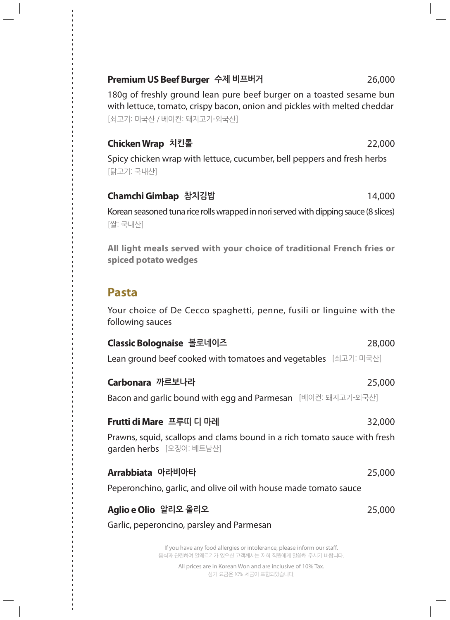#### **Premium US Beef Burger 수제 비프버거**  26,000

180g of freshly ground lean pure beef burger on a toasted sesame bun with lettuce, tomato, crispy bacon, onion and pickles with melted cheddar [쇠고기: 미국산 / 베이컨: 돼지고기-외국산]

#### **Chicken Wrap 치킨롤**  22,000

Spicy chicken wrap with lettuce, cucumber, bell peppers and fresh herbs [닭고기: 국내산]

#### **Chamchi Gimbap 참치김밥**  14,000

Korean seasoned tuna rice rolls wrapped in nori served with dipping sauce (8 slices) [쌀: 국내산]

**All light meals served with your choice of traditional French fries or spiced potato wedges**

### **Pasta**

Your choice of De Cecco spaghetti, penne, fusili or linguine with the following sauces

#### **Classic Bolognaise 볼로네이즈**  28,000

Lean ground beef cooked with tomatoes and vegetables [쇠고기: 미국산]

#### **Carbonara 까르보나라**  25,000

Bacon and garlic bound with egg and Parmesan [베이컨: 돼지고기-외국산]

#### **Frutti di Mare 프루띠 디 마레**  32,000

Prawns, squid, scallops and clams bound in a rich tomato sauce with fresh garden herbs [오징어: 베트남산]

#### **Arrabbiata 아라비아타**  25,000

Peperonchino, garlic, and olive oil with house made tomato sauce

#### **Aglio e Olio 알리오 올리오**  25,000

Garlic, peperoncino, parsley and Parmesan

If you have any food allergies or intolerance, please inform our staff. 음식과 관련하여 알레르기가 있으신 고객께서는 저희 직원에게 말씀해 주시기 바랍니다.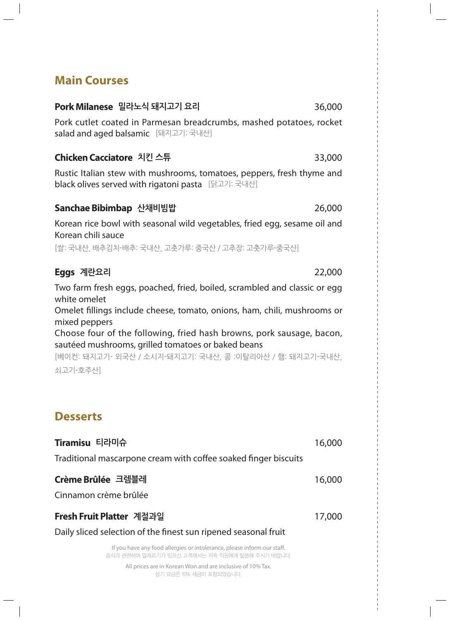## **Main Courses**

### **Pork Milanese 밀라노식 돼지고기 요리**  36,000

Pork cutlet coated in Parmesan breadcrumbs, mashed potatoes, rocket salad and aged balsamic [돼지고기: 국내산]

#### **Chicken Cacciatore 치킨 스튜**  33,000

Rustic Italian stew with mushrooms, tomatoes, peppers, fresh thyme and black olives served with rigatoni pasta [닭고기: 국내산]

#### **Sanchae Bibimbap 산채비빔밥**  26,000

Korean rice bowl with seasonal wild vegetables, fried egg, sesame oil and Korean chili sauce

[쌀: 국내산, 배추김치-배추: 국내산, 고춧가루: 중국산 / 고추장: 고춧가루-중국산]

#### **Eggs 계란요리**  22,000

Two farm fresh eggs, poached, fried, boiled, scrambled and classic or egg white omelet

Omelet fillings include cheese, tomato, onions, ham, chili, mushrooms or mixed peppers

Choose four of the following, fried hash browns, pork sausage, bacon, sautéed mushrooms, grilled tomatoes or baked beans

[베이컨: 돼지고기- 외국산 / 소시지-돼지고기: 국내산, 콩 :이탈리아산 / 햄: 돼지고기-국내산, 쇠고기-호주산]

## **Desserts**

| Tiramisu 티라미슈                                                           | 16,000 |
|-------------------------------------------------------------------------|--------|
| Traditional mascarpone cream with coffee soaked finger biscuits         |        |
| Crème Brûlée 크렘블레                                                       | 16,000 |
| Cinnamon crème brûlée                                                   |        |
| Fresh Fruit Platter 계절과일                                                | 17,000 |
| Daily sliced selection of the finest sun ripened seasonal fruit         |        |
| If you have any food allergies or intolerance, please inform our staff. |        |

음식과 관련하여 알레르기가 있으신 고객께서는 저희 직원에게 말씀해 주시기 바랍니다.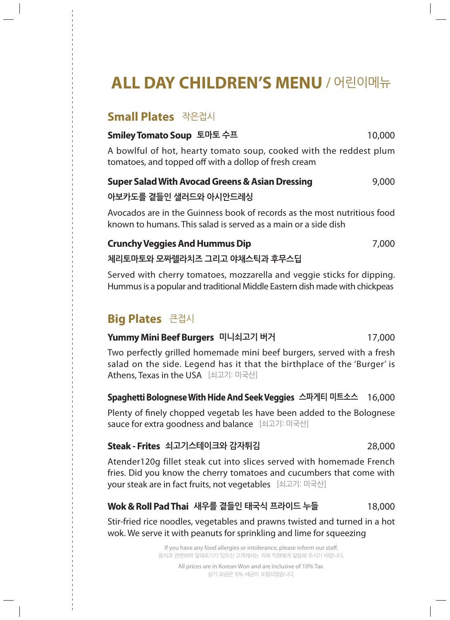# **ALL DAY CHILDREN'S MENU** / 어린이메뉴

## **Small Plates** 작은접시

#### **Smiley Tomato Soup 토마토 수프**  10,000

A bowlful of hot, hearty tomato soup, cooked with the reddest plum tomatoes, and topped off with a dollop of fresh cream

## **Super Salad With Avocad Greens & Asian Dressing 3,000 9,000 아보카도를 곁들인 샐러드와 아시안드레싱**

Avocados are in the Guinness book of records as the most nutritious food known to humans. This salad is served as a main or a side dish

## **Crunchy Veggies And Hummus Dip 1988 1988** 7,000 **체리토마토와 모짜렐라치즈 그리고 야채스틱과 후무스딥**

Served with cherry tomatoes, mozzarella and veggie sticks for dipping. Hummus is a popular and traditional Middle Eastern dish made with chickpeas

## **Big Plates** 큰접시

#### **Yummy Mini Beef Burgers 미니쇠고기 버거** 17,000

Two perfectly grilled homemade mini beef burgers, served with a fresh salad on the side. Legend has it that the birthplace of the 'Burger' is Athens, Texas in the USA [쇠고기: 미국산]

#### **Spaghetti Bolognese With Hide And Seek Veggies 스파게티 미트소스** 16,000

Plenty of finely chopped vegetab les have been added to the Bolognese sauce for extra goodness and balance [쇠고기: 미국산]

#### **Steak - Frites 쇠고기스테이크와 감자튀김** 28,000

Atender120g fillet steak cut into slices served with homemade French fries. Did you know the cherry tomatoes and cucumbers that come with your steak are in fact fruits, not vegetables [쇠고기: 미국산]

## **Wok & Roll Pad Thai 새우를 곁들인 태국식 프라이드 누들** 18,000

Stir-fried rice noodles, vegetables and prawns twisted and turned in a hot wok. We serve it with peanuts for sprinkling and lime for squeezing

> If you have any food allergies or intolerance, please inform our staff. 음식과 관련하여 알레르기가 있으신 고객께서는 저희 직원에게 말씀해 주시기 바랍니다.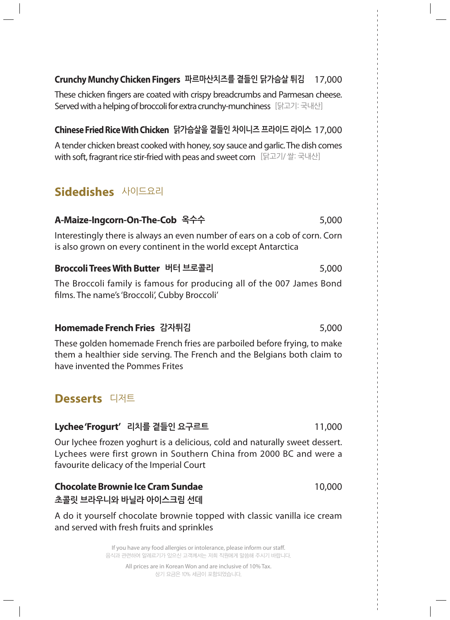#### **Crunchy Munchy Chicken Fingers 파르마산치즈를 곁들인 닭가슴살 튀김** 17,000

These chicken fingers are coated with crispy breadcrumbs and Parmesan cheese. Served with a helping of broccoli for extra crunchy-munchiness [닭고기: 국내산]

#### **Chinese Fried Rice With Chicken 닭가슴살을 곁들인 차이니즈 프라이드 라이스** 17,000

A tender chicken breast cooked with honey, soy sauce and garlic. The dish comes with soft, fragrant rice stir-fried with peas and sweet corn [닭고기/ 쌀: 국내산]

## **Sidedishes** 사이드요리

### **A-Maize-Ingcorn-On-The-Cob 옥수수** 5,000

Interestingly there is always an even number of ears on a cob of corn. Corn is also grown on every continent in the world except Antarctica

#### **Broccoli Trees With Butter 버터 브로콜리** 5,000

The Broccoli family is famous for producing all of the 007 James Bond films. The name's 'Broccoli', Cubby Broccoli'

#### **Homemade French Fries 감자튀김** 5,000

These golden homemade French fries are parboiled before frying, to make them a healthier side serving. The French and the Belgians both claim to have invented the Pommes Frites

## **Desserts** 디저트

#### **Lychee 'Frogurt' 리치를 곁들인 요구르트** 11,000

Our Iychee frozen yoghurt is a delicious, cold and naturally sweet dessert. Lychees were first grown in Southern China from 2000 BC and were a favourite delicacy of the Imperial Court

#### **Chocolate Brownie Ice Cram Sundae** 10,000 **초콜릿 브라우니와 바닐라 아이스크림 선데**

A do it yourself chocolate brownie topped with classic vanilla ice cream and served with fresh fruits and sprinkles

> If you have any food allergies or intolerance, please inform our staff. 음식과 관련하여 알레르기가 있으신 고객께서는 저희 직원에게 말씀해 주시기 바랍니다.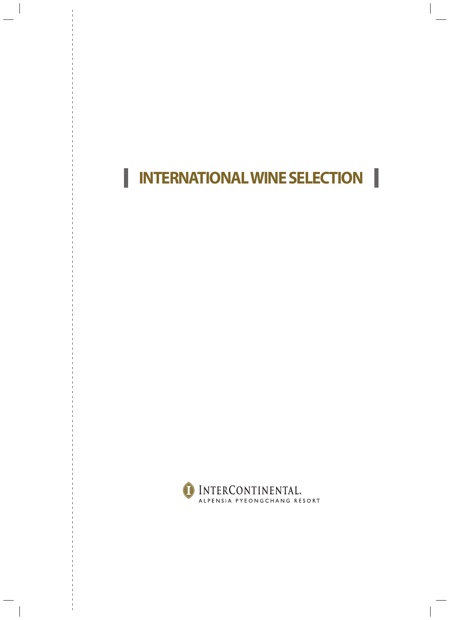# **INTERNATIONAL WINE SELECTION**

I

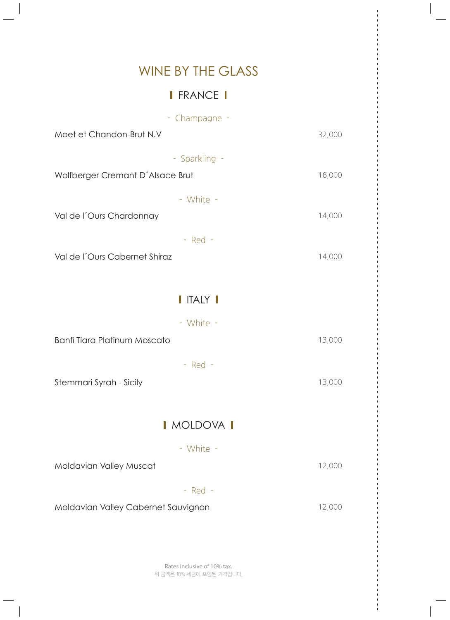## WINE BY THE GLASS

## **I** FRANCE **I**

| - Champagne -                       |        |
|-------------------------------------|--------|
| Moet et Chandon-Brut N.V            | 32,000 |
| - Sparkling -                       |        |
| Wolfberger Cremant D'Alsace Brut    | 16,000 |
| - White -                           |        |
| Val de l'Ours Chardonnay            | 14,000 |
| $-$ Red $-$                         |        |
| Val de l'Ours Cabernet Shiraz       | 14,000 |
|                                     |        |
| I ITALY I                           |        |
| - White -                           |        |
| <b>Banfi Tiara Platinum Moscato</b> | 13,000 |
| $-$ Red $-$                         |        |
| Stemmari Syrah - Sicily             | 13,000 |
|                                     |        |
| I MOLDOVA I                         |        |
| - White -                           |        |
| Moldavian Valley Muscat             | 12,000 |
| $-$ Red $-$                         |        |
| Moldavian Valley Cabernet Sauvignon | 12,000 |
|                                     |        |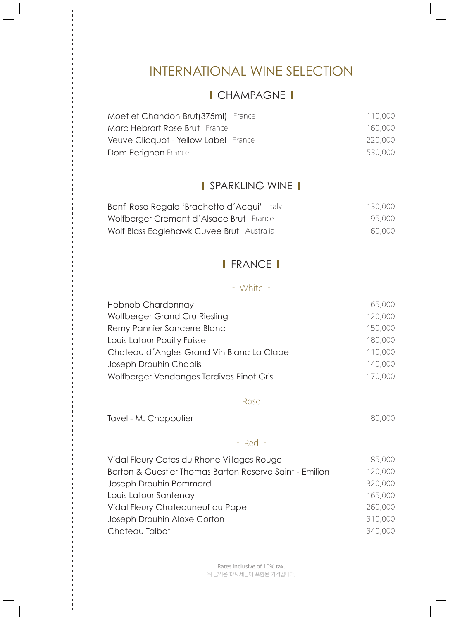## INTERNATIONAL WINE SELECTION

## I CHAMPAGNE I

| Moet et Chandon-Brut(375ml) France   | 110,000 |
|--------------------------------------|---------|
| Marc Hebrart Rose Brut France        | 160,000 |
| Veuve Clicquot - Yellow Label France | 220,000 |
| Dom Perignon France                  | 530,000 |

## **I** SPARKLING WINE **I**

| Banfi Rosa Regale 'Brachetto d'Acqui' Italy | 130,000 |
|---------------------------------------------|---------|
| Wolfberger Cremant d'Alsace Brut France     | 95,000  |
| Wolf Blass Eaglehawk Cuvee Brut Australia   | 60,000  |

## **I** FRANCE **I**

#### - White -

| Hobnob Chardonnay                         | 65,000  |
|-------------------------------------------|---------|
| Wolfberger Grand Cru Riesling             | 120,000 |
| Remy Pannier Sancerre Blanc               | 150,000 |
| Louis Latour Pouilly Fuisse               | 180,000 |
| Chateau d'Angles Grand Vin Blanc La Clape | 110,000 |
| Joseph Drouhin Chablis                    | 140,000 |
| Wolfberger Vendanges Tardives Pinot Gris  | 170,000 |

- Rose -

Tavel - M. Chapoutier **80,000** 

#### - Red -

| Vidal Fleury Cotes du Rhone Villages Rouge              | 85,000  |
|---------------------------------------------------------|---------|
| Barton & Guestier Thomas Barton Reserve Saint - Emilion | 120,000 |
| Joseph Drouhin Pommard                                  | 320,000 |
| Louis Latour Santenay                                   | 165,000 |
| Vidal Fleury Chateauneuf du Pape                        | 260,000 |
| Joseph Drouhin Aloxe Corton                             | 310,000 |
| Chateau Talbot                                          | 340,000 |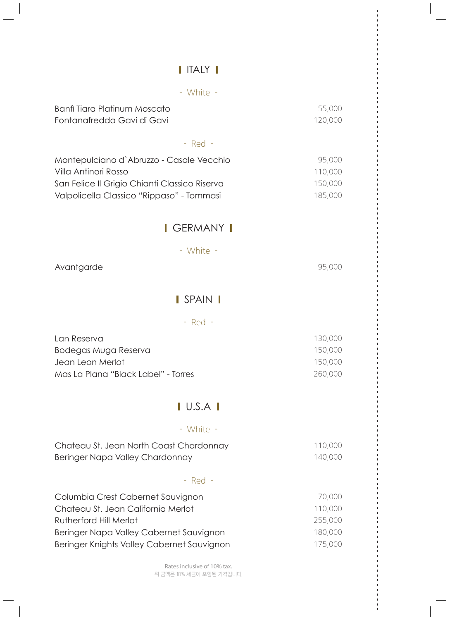## I ITALY I

| - White -                                                                                                                                                      |                                          |
|----------------------------------------------------------------------------------------------------------------------------------------------------------------|------------------------------------------|
| <b>Banfi Tiara Platinum Moscato</b><br>Fontanafredda Gavi di Gavi                                                                                              | 55,000<br>120,000                        |
| $-$ Red $-$                                                                                                                                                    |                                          |
| Montepulciano d'Abruzzo - Casale Vecchio<br>Villa Antinori Rosso<br>San Felice II Grigio Chianti Classico Riserva<br>Valpolicella Classico "Rippaso" - Tommasi | 95,000<br>110,000<br>150,000<br>185,000  |
| <b>I</b> GERMANY <b>I</b>                                                                                                                                      |                                          |
| - White -                                                                                                                                                      |                                          |
| Avantgarde                                                                                                                                                     | 95,000                                   |
| I SPAIN I                                                                                                                                                      |                                          |
| $-$ Red $-$                                                                                                                                                    |                                          |
| Lan Reserva<br>Bodegas Muga Reserva<br>Jean Leon Merlot<br>Mas La Plana "Black Label" - Torres                                                                 | 130,000<br>150,000<br>150,000<br>260,000 |
| $\blacksquare$ U.S.A $\blacksquare$                                                                                                                            |                                          |
| - White -                                                                                                                                                      |                                          |
| Chateau St. Jean North Coast Chardonnay<br>Beringer Napa Valley Chardonnay                                                                                     | 110,000<br>140,000                       |
| $-$ Red $-$                                                                                                                                                    |                                          |
| Columbia Crest Cabernet Sauvignon<br>Chateau St. Jean California Merlot<br><b>Rutherford Hill Merlot</b><br>Beringer Napa Valley Cabernet Sauvignon            | 70,000<br>110,000<br>255,000<br>180,000  |
| Beringer Knights Valley Cabernet Sauvignon                                                                                                                     | 175,000                                  |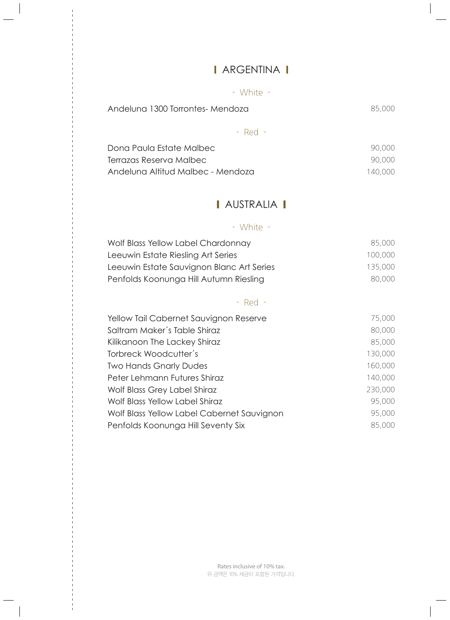## **I** ARGENTINA **I**

 $\begin{array}{c} \hline \end{array}$ 

#### - White -

| Andeluna 1300 Torrontes-Mendoza | 85,000 |
|---------------------------------|--------|
|                                 |        |

- Red -

| Dona Paula Estate Malbec          | 90,000  |
|-----------------------------------|---------|
| Terrazas Reserva Malbec           | 90,000  |
| Andeluna Altitud Malbec - Mendoza | 140,000 |

## **AUSTRALIA I**

## - White -

| Wolf Blass Yellow Label Chardonnay        | 85,000  |
|-------------------------------------------|---------|
| Leeuwin Estate Riesling Art Series        | 100,000 |
| Leeuwin Estate Sauvignon Blanc Art Series | 135,000 |
| Penfolds Koonunga Hill Autumn Riesling    | 80,000  |

#### - Red -

| Yellow Tail Cabernet Sauvignon Reserve     | 75,000  |
|--------------------------------------------|---------|
| Saltram Maker's Table Shiraz               | 80,000  |
| Kilikanoon The Lackey Shiraz               | 85,000  |
| Torbreck Woodcutter's                      | 130,000 |
| <b>Two Hands Gnarly Dudes</b>              | 160,000 |
| Peter Lehmann Futures Shiraz               | 140,000 |
| Wolf Blass Grey Label Shiraz               | 230,000 |
| Wolf Blass Yellow Label Shiraz             | 95,000  |
| Wolf Blass Yellow Label Cabernet Sauvignon | 95,000  |
| Penfolds Koonunga Hill Seventy Six         | 85,000  |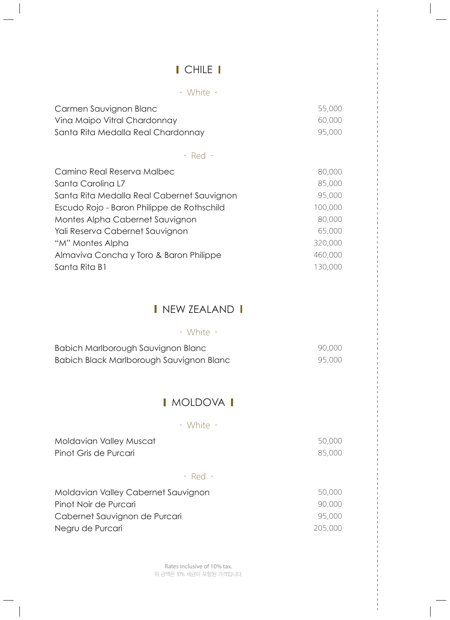## I CHILE I

 $\begin{array}{c} \hline \end{array}$ 

|  | White |  |
|--|-------|--|
|  |       |  |

| Carmen Sauvignon Blanc<br>Vina Maipo Vitral Chardonnay<br>Santa Rita Medalla Real Chardonnay                                                                                                                                                                                                      | 55,000<br>60,000<br>95,000                                                                 |  |  |
|---------------------------------------------------------------------------------------------------------------------------------------------------------------------------------------------------------------------------------------------------------------------------------------------------|--------------------------------------------------------------------------------------------|--|--|
| - Red -                                                                                                                                                                                                                                                                                           |                                                                                            |  |  |
| Camino Real Reserva Malbec<br>Santa Carolina L7<br>Santa Rita Medalla Real Cabernet Sauvignon<br>Escudo Rojo - Baron Philippe de Rothschild<br>Montes Alpha Cabernet Sauvignon<br>Yali Reserva Cabernet Sauvignon<br>"M" Montes Alpha<br>Almaviva Concha y Toro & Baron Philippe<br>Santa Rita B1 | 80,000<br>85,000<br>95,000<br>100,000<br>80,000<br>65,000<br>320,000<br>460,000<br>130,000 |  |  |
| I NEW ZEALAND I                                                                                                                                                                                                                                                                                   |                                                                                            |  |  |
| - White -                                                                                                                                                                                                                                                                                         |                                                                                            |  |  |
| Babich Marlborough Sauvignon Blanc<br>Babich Black Marlborough Sauvignon Blanc                                                                                                                                                                                                                    | 90,000<br>95,000                                                                           |  |  |
| MOLDOVA I                                                                                                                                                                                                                                                                                         |                                                                                            |  |  |

#### - White -

| Moldavian Valley Muscat<br>Pinot Gris de Purcari |             | 50,000<br>85.000 |
|--------------------------------------------------|-------------|------------------|
|                                                  | $-$ Red $-$ |                  |
| Maldavian Valloy Cabarnat Causianon              |             | EA AAA           |

| Moldavian Valley Cabernet Sauvignon | 50,000  |
|-------------------------------------|---------|
| Pinot Noir de Purcari               | 90,000  |
| Cabernet Sauvignon de Purcari       | 95,000  |
| Negru de Purcari                    | 205,000 |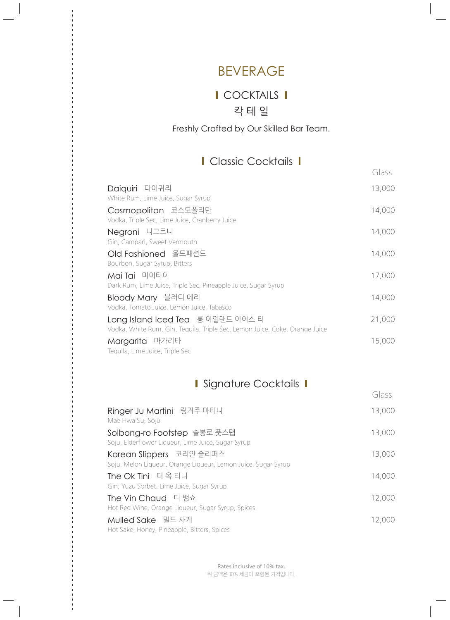## BEVERAGE

## **I** COCKTAILS **I** 칵 테 일

#### Freshly Crafted by Our Skilled Bar Team.

## I Classic Cocktails I

|                                                                                                                  | Glass  |
|------------------------------------------------------------------------------------------------------------------|--------|
| Daiquiri 다이퀴리<br>White Rum, Lime Juice, Sugar Syrup                                                              | 13,000 |
| Cosmopolitan 코스모폴리탄<br>Vodka, Triple Sec, Lime Juice, Cranberry Juice                                            | 14,000 |
| Negroni 니그로니<br>Gin, Campari, Sweet Vermouth                                                                     | 14,000 |
| Old Fashioned 올드패션드<br>Bourbon, Sugar Syrup, Bitters                                                             | 14,000 |
| Mai Tai 마이타이<br>Dark Rum, Lime Juice, Triple Sec, Pineapple Juice, Sugar Syrup                                   | 17,000 |
| Bloody Mary 블러디 메리<br>Vodka, Tomato Juice, Lemon Juice, Tabasco                                                  | 14,000 |
| Long Island Iced Tea 롱 아일랜드 아이스 티<br>Vodka, White Rum, Gin, Tequila, Triple Sec, Lemon Juice, Coke, Orange Juice | 21,000 |
| Margarita 마가리타<br>Tequila, Lime Juice, Triple Sec                                                                | 15,000 |

## I Signature Cocktails I

|                                                                                           | Glass  |
|-------------------------------------------------------------------------------------------|--------|
| Ringer Ju Martini 링거주 마티니<br>Mae Hwa Su, Soju                                             | 13,000 |
| Solbong-ro Footstep 솔봉로 풋스탭<br>Soju, Elderflower Liqueur, Lime Juice, Sugar Syrup         | 13,000 |
| Korean Slippers 코리안 슬리퍼스<br>Soju, Melon Liqueur, Orange Liqueur, Lemon Juice, Sugar Syrup | 13,000 |
| The Ok Tini 더옥티니<br>Gin, Yuzu Sorbet, Lime Juice, Sugar Syrup                             | 14,000 |
| The Vin Chaud 더 뱅쇼<br>Hot Red Wine, Orange Liqueur, Sugar Syrup, Spices                   | 12,000 |
| Mulled Sake 멀드 사케<br>Hot Sake, Honey, Pineapple, Bitters, Spices                          | 12,000 |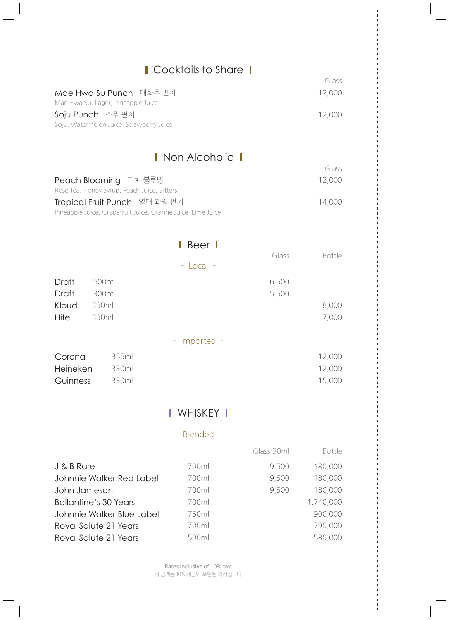|               |                                                                                              | Cocktails to Share                 |            | Glass          |
|---------------|----------------------------------------------------------------------------------------------|------------------------------------|------------|----------------|
|               | Mae Hwa Su Punch 매화주 펀치<br>Mae Hwa Su, Lager, Pineapple Juice                                |                                    |            | 12,000         |
|               | Soju Punch 소주 펀치<br>Soju, Watermelon Juice, Strawberry Juice                                 |                                    |            | 12,000         |
|               |                                                                                              | Non Alcoholic 1                    |            |                |
|               |                                                                                              |                                    |            | Glass          |
|               | Peach Blooming 피치 블루밍<br>Rose Tea, Honey Syrup, Peach Juice, Bitters                         |                                    |            | 12,000         |
|               | Tropical Fruit Punch 열대 과일 펀치<br>Pineapple Juice, Grapefruit Juice, Orange Juice, Lime Juice |                                    |            | 14,000         |
|               |                                                                                              | $\blacksquare$ Beer $\blacksquare$ |            |                |
|               |                                                                                              |                                    | Glass      | <b>Bottle</b>  |
|               |                                                                                              | - Local -                          |            |                |
| Draft         | 500cc                                                                                        |                                    | 6,500      |                |
| Draft         | 300cc                                                                                        |                                    | 5,500      |                |
| Kloud<br>Hite | 330ml<br>330ml                                                                               |                                    |            | 8,000<br>7,000 |
|               |                                                                                              |                                    |            |                |
|               |                                                                                              | - Imported -                       |            |                |
| Corona        | 355ml                                                                                        |                                    |            | 12,000         |
| Heineken      | 330ml                                                                                        |                                    |            | 12,000         |
| Guinness      | 330ml                                                                                        |                                    |            | 15,000         |
|               |                                                                                              | I WHISKEY I                        |            |                |
|               |                                                                                              | Blended -<br>÷                     |            |                |
|               |                                                                                              |                                    | Glass 30ml | Bottle         |
| J & B Rare    |                                                                                              | 700ml                              | 9,500      | 180,000        |
|               | Johnnie Walker Red Label                                                                     | 700ml                              | 9,500      | 180,000        |
| John Jameson  |                                                                                              | 700ml                              | 9,500      | 180,000        |
|               | <b>Ballantine's 30 Years</b>                                                                 | 700ml                              |            | 1,740,000      |
|               | Johnnie Walker Blue Label                                                                    | 750ml                              |            | 900,000        |
|               | Royal Salute 21 Years                                                                        | 700ml                              |            | 790,000        |

Royal Salute 21 Years 500ml 580,000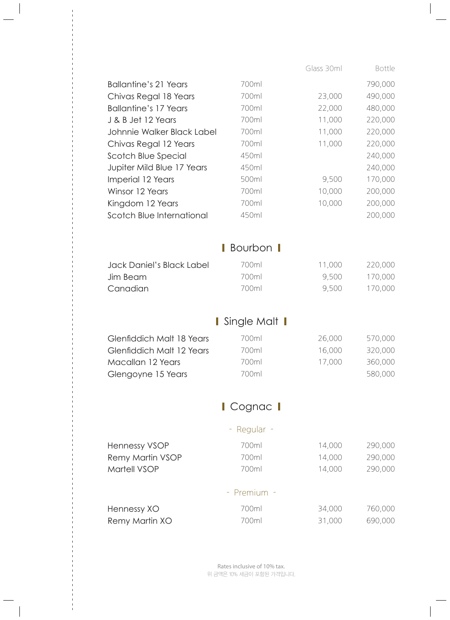|                              |               | Glass 30ml | Bottle  |  |
|------------------------------|---------------|------------|---------|--|
| <b>Ballantine's 21 Years</b> | 700ml         |            | 790,000 |  |
| Chivas Regal 18 Years        | 700ml         | 23,000     | 490,000 |  |
| <b>Ballantine's 17 Years</b> | 700ml         | 22,000     | 480,000 |  |
| J & B Jet 12 Years           | 700ml         | 11,000     | 220,000 |  |
| Johnnie Walker Black Label   | 700ml         | 11,000     | 220,000 |  |
| Chivas Regal 12 Years        | 700ml         | 11,000     | 220,000 |  |
| Scotch Blue Special          | 450ml         |            | 240,000 |  |
| Jupiter Mild Blue 17 Years   | 450ml         |            | 240,000 |  |
| Imperial 12 Years            | 500ml         | 9,500      | 170,000 |  |
| Winsor 12 Years              | 700ml         | 10,000     | 200,000 |  |
| Kingdom 12 Years             | 700ml         | 10,000     | 200,000 |  |
| Scotch Blue International    | 450ml         |            | 200,000 |  |
|                              |               |            |         |  |
|                              | Bourbon       |            |         |  |
|                              |               |            |         |  |
| Jack Daniel's Black Label    | 700ml         | 11,000     | 220,000 |  |
| Jim Beam                     | 700ml         | 9,500      | 170,000 |  |
| Canadian                     | 700ml         | 9,500      | 170,000 |  |
|                              |               |            |         |  |
|                              | Single Malt I |            |         |  |
| Glenfiddich Malt 18 Years    | 700ml         | 26,000     | 570,000 |  |
| Glenfiddich Malt 12 Years    | 700ml         | 16,000     | 320,000 |  |
| Macallan 12 Years            | 700ml         | 17,000     | 360,000 |  |
| Glengoyne 15 Years           | 700ml         |            | 580,000 |  |
|                              |               |            |         |  |
| Cognac                       |               |            |         |  |
|                              | Regular -     |            |         |  |
|                              |               |            |         |  |
| <b>Hennessy VSOP</b>         | 700ml         | 14,000     | 290,000 |  |
| <b>Remy Martin VSOP</b>      | 700ml         | 14,000     | 290,000 |  |
| Martell VSOP                 | 700ml         | 14,000     | 290,000 |  |
| Premium -                    |               |            |         |  |
| Hennessy XO                  | 700ml         | 34,000     | 760,000 |  |
| Remy Martin XO               | 700ml         | 31,000     | 690,000 |  |
|                              |               |            |         |  |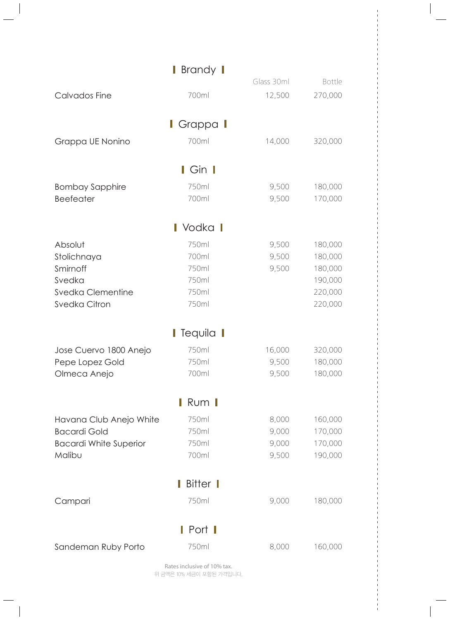|                               | Brandy I                  |            |         |
|-------------------------------|---------------------------|------------|---------|
|                               |                           | Glass 30ml | Bottle  |
| Calvados Fine                 | 700ml                     | 12,500     | 270,000 |
|                               | <b>Grappa I</b>           |            |         |
|                               | 700ml                     |            |         |
| Grappa UE Nonino              |                           | 14,000     | 320,000 |
|                               | $Gin$ $\blacksquare$      |            |         |
| <b>Bombay Sapphire</b>        | 750ml                     | 9,500      | 180,000 |
| <b>Beefeater</b>              | 700ml                     | 9,500      | 170,000 |
|                               |                           |            |         |
|                               | Vodka <b>I</b>            |            |         |
| Absolut                       | 750ml                     | 9,500      | 180,000 |
| Stolichnaya                   | 700ml                     | 9,500      | 180,000 |
| Smirnoff                      | 750ml                     | 9,500      | 180,000 |
| Svedka                        | 750ml                     |            | 190,000 |
| <b>Svedka Clementine</b>      | 750ml                     |            | 220,000 |
| <b>Svedka Citron</b>          | 750ml                     |            | 220,000 |
|                               | <b>I</b> Tequila <b>I</b> |            |         |
|                               |                           |            |         |
| Jose Cuervo 1800 Anejo        | 750ml                     | 16,000     | 320,000 |
| Pepe Lopez Gold               | 750ml                     | 9,500      | 180,000 |
| Olmeca Anejo                  | 700ml                     | 9,500      | 180,000 |
|                               | Rum                       |            |         |
| Havana Club Anejo White       | 750ml                     | 8,000      | 160,000 |
| <b>Bacardi Gold</b>           | 750ml                     | 9,000      | 170,000 |
| <b>Bacardi White Superior</b> | 750ml                     | 9,000      | 170,000 |
| Malibu                        | 700ml                     | 9,500      | 190,000 |
|                               |                           |            |         |
| Bitter                        |                           |            |         |
| Campari                       | 750ml                     | 9,000      | 180,000 |
|                               | ı<br>Port I               |            |         |
|                               |                           |            |         |
| Sandeman Ruby Porto           | 750ml                     | 8,000      | 160,000 |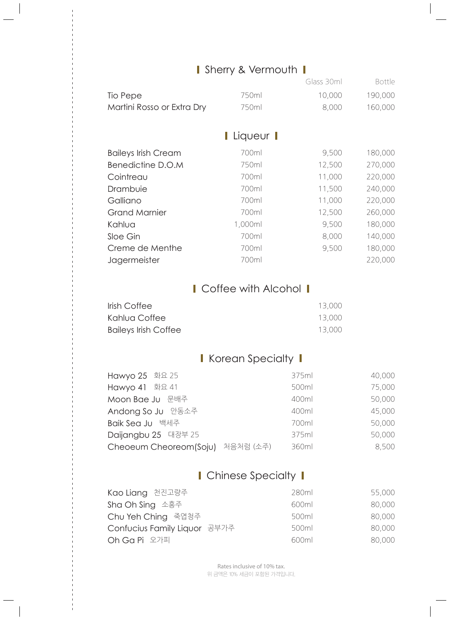## I Sherry & Vermouth I

|                            |             | Glass 30ml | Bottle  |
|----------------------------|-------------|------------|---------|
| Tio Pepe                   | 750ml       | 10,000     | 190,000 |
| Martini Rosso or Extra Dry | 750ml       | 8,000      | 160,000 |
|                            |             |            |         |
|                            | I Liqueur I |            |         |
| <b>Baileys Irish Cream</b> | 700ml       | 9,500      | 180,000 |
| Benedictine D.O.M          | 750ml       | 12,500     | 270,000 |
| Cointreau                  | 700ml       | 11,000     | 220,000 |
| Drambuie                   | 700ml       | 11,500     | 240,000 |
| Galliano                   | 700ml       | 11,000     | 220,000 |
| <b>Grand Marnier</b>       | 700ml       | 12,500     | 260,000 |
| Kahlua                     | 1,000ml     | 9,500      | 180,000 |
| Sloe Gin                   | 700ml       | 8,000      | 140,000 |
| Creme de Menthe            | 700ml       | 9,500      | 180,000 |
| Jagermeister               | 700ml       |            | 220,000 |
|                            |             |            |         |

## I Coffee with Alcohol I

| Irish Coffee                | 13,000 |
|-----------------------------|--------|
| Kahlua Coffee               | 13,000 |
| <b>Baileys Irish Coffee</b> | 13,000 |

## **Korean Specialty 1**

| Hawyo 25 화요 25                      | 375ml | 40,000 |
|-------------------------------------|-------|--------|
| Hawyo 41 화요 41                      | 500ml | 75,000 |
| Moon Bae Ju 문배주                     | 400ml | 50,000 |
| Andong So Ju 안동소주                   | 400ml | 45,000 |
| Baik Sea Ju 백세주                     | 700ml | 50,000 |
| Daijangbu 25 대장부 25                 | 375ml | 50,000 |
| 처음처럼 (소주)<br>Cheoeum Cheoreom(Soju) | 360ml | 8,500  |

## I Chinese Specialty I

| Kao Liang 천진고량주              | 280ml | 55,000 |
|------------------------------|-------|--------|
| Sha Oh Sing 소흥주              | 600ml | 80,000 |
| Chu Yeh Ching 죽엽청주           | 500ml | 80,000 |
| Confucius Family Liquor 공부가주 | 500ml | 80,000 |
| Oh Ga Pi 오가피                 | 600ml | 80,000 |